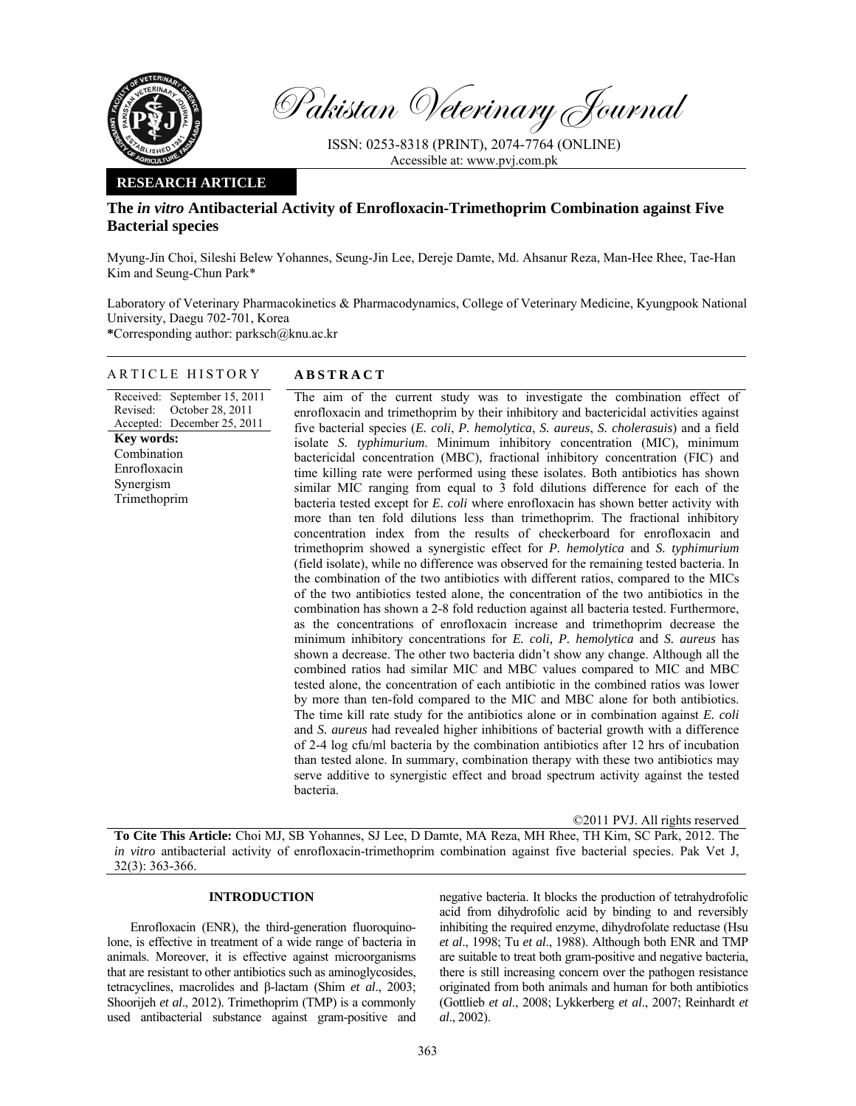

Pakistan Veterinary Journal

ISSN: 0253-8318 (PRINT), 2074-7764 (ONLINE) Accessible at: www.pvj.com.pk

## **RESEARCH ARTICLE**

# **The** *in vitro* **Antibacterial Activity of Enrofloxacin-Trimethoprim Combination against Five Bacterial species**

Myung-Jin Choi, Sileshi Belew Yohannes, Seung-Jin Lee, Dereje Damte, Md. Ahsanur Reza, Man-Hee Rhee, Tae-Han Kim and Seung-Chun Park\*

Laboratory of Veterinary Pharmacokinetics & Pharmacodynamics, College of Veterinary Medicine, Kyungpook National University, Daegu 702-701, Korea

**\***Corresponding author: parksch@knu.ac.kr

## ARTICLE HISTORY **ABSTRACT**

### Received: September 15, 2011 Revised: Accepted: December 25, 2011 October 28, 2011 **Key words:**  Combination Enrofloxacin Synergism Trimethoprim

The aim of the current study was to investigate the combination effect of enrofloxacin and trimethoprim by their inhibitory and bactericidal activities against five bacterial species (*E. coli*, *P. hemolytica*, *S. aureus*, *S. cholerasuis*) and a field isolate *S. typhimurium*. Minimum inhibitory concentration (MIC), minimum bactericidal concentration (MBC), fractional inhibitory concentration (FIC) and time killing rate were performed using these isolates. Both antibiotics has shown similar MIC ranging from equal to 3 fold dilutions difference for each of the bacteria tested except for *E. coli* where enrofloxacin has shown better activity with more than ten fold dilutions less than trimethoprim. The fractional inhibitory concentration index from the results of checkerboard for enrofloxacin and trimethoprim showed a synergistic effect for *P. hemolytica* and *S. typhimurium* (field isolate), while no difference was observed for the remaining tested bacteria. In the combination of the two antibiotics with different ratios, compared to the MICs of the two antibiotics tested alone, the concentration of the two antibiotics in the combination has shown a 2-8 fold reduction against all bacteria tested. Furthermore, as the concentrations of enrofloxacin increase and trimethoprim decrease the minimum inhibitory concentrations for *E. coli, P. hemolytica* and *S. aureus* has shown a decrease. The other two bacteria didn't show any change. Although all the combined ratios had similar MIC and MBC values compared to MIC and MBC tested alone, the concentration of each antibiotic in the combined ratios was lower by more than ten-fold compared to the MIC and MBC alone for both antibiotics. The time kill rate study for the antibiotics alone or in combination against *E. coli* and *S. aureus* had revealed higher inhibitions of bacterial growth with a difference of 2-4 log cfu/ml bacteria by the combination antibiotics after 12 hrs of incubation than tested alone. In summary, combination therapy with these two antibiotics may serve additive to synergistic effect and broad spectrum activity against the tested bacteria.

©2011 PVJ. All rights reserved **To Cite This Article:** Choi MJ, SB Yohannes, SJ Lee, D Damte, MA Reza, MH Rhee, TH Kim, SC Park, 2012. The *in vitro* antibacterial activity of enrofloxacin-trimethoprim combination against five bacterial species. Pak Vet J, 32(3): 363-366.

## **INTRODUCTION**

Enrofloxacin (ENR), the third-generation fluoroquinolone, is effective in treatment of a wide range of bacteria in animals. Moreover, it is effective against microorganisms that are resistant to other antibiotics such as aminoglycosides, tetracyclines, macrolides and β-lactam (Shim *et al*., 2003; Shoorijeh *et al*., 2012). Trimethoprim (TMP) is a commonly used antibacterial substance against gram-positive and negative bacteria. It blocks the production of tetrahydrofolic acid from dihydrofolic acid by binding to and reversibly inhibiting the required enzyme, dihydrofolate reductase (Hsu *et al*., 1998; Tu *et al*., 1988). Although both ENR and TMP are suitable to treat both gram-positive and negative bacteria, there is still increasing concern over the pathogen resistance originated from both animals and human for both antibiotics (Gottlieb *et al*., 2008; Lykkerberg *et al*., 2007; Reinhardt *et al*., 2002).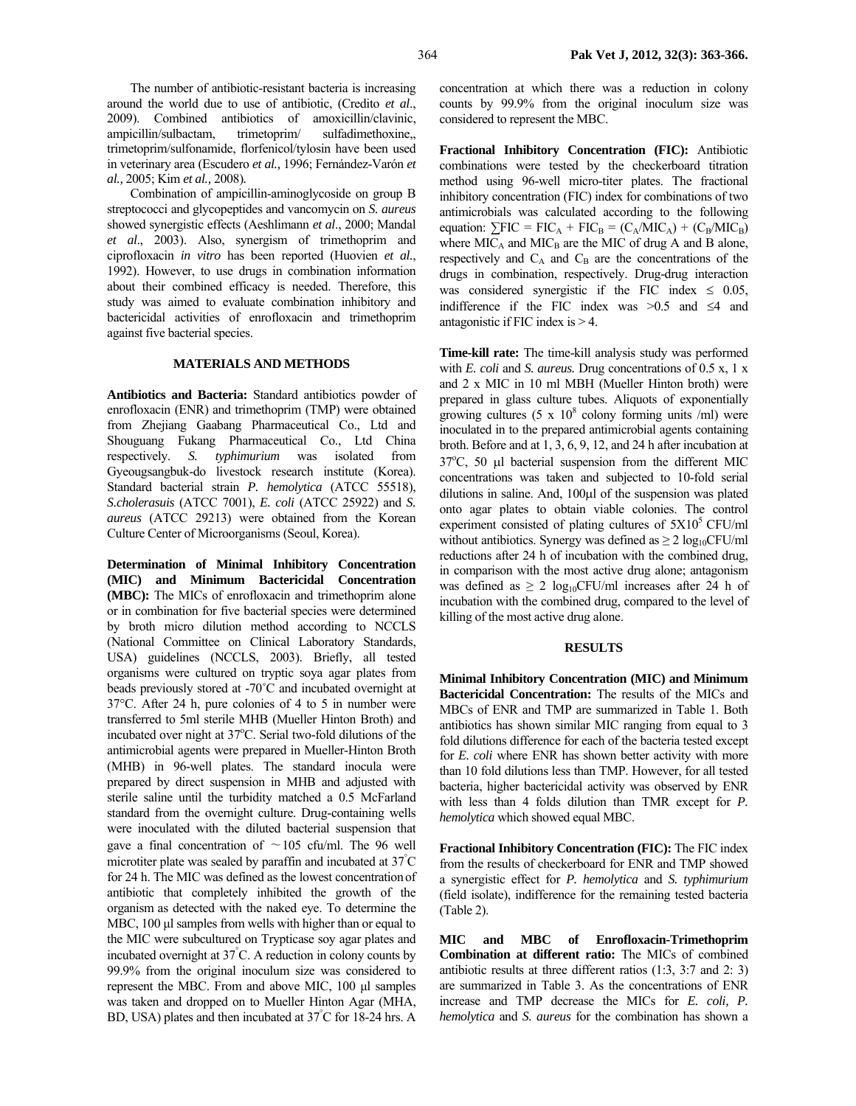The number of antibiotic-resistant bacteria is increasing around the world due to use of antibiotic, (Credito *et al*., 2009). Combined antibiotics of amoxicillin/clavinic, ampicillin/sulbactam, trimetoprim/ sulfadimethoxine,, trimetoprim/sulfonamide, florfenicol/tylosin have been used in veterinary area (Escudero *et al.,* 1996; Fernández-Varón *et al.,* 2005; Kim *et al.,* 2008)*.* 

Combination of ampicillin-aminoglycoside on group B streptococci and glycopeptides and vancomycin on *S. aureus* showed synergistic effects (Aeshlimann *et al*., 2000; Mandal *et al*., 2003). Also, synergism of trimethoprim and ciprofloxacin *in vitro* has been reported (Huovien *et al.*, 1992). However, to use drugs in combination information about their combined efficacy is needed. Therefore, this study was aimed to evaluate combination inhibitory and bactericidal activities of enrofloxacin and trimethoprim against five bacterial species.

#### **MATERIALS AND METHODS**

**Antibiotics and Bacteria:** Standard antibiotics powder of enrofloxacin (ENR) and trimethoprim (TMP) were obtained from Zhejiang Gaabang Pharmaceutical Co., Ltd and Shouguang Fukang Pharmaceutical Co., Ltd China respectively. *S. typhimurium* was isolated from Gyeougsangbuk-do livestock research institute (Korea). Standard bacterial strain *P. hemolytica* (ATCC 55518), *S.cholerasuis* (ATCC 7001), *E. coli* (ATCC 25922) and *S. aureus* (ATCC 29213) were obtained from the Korean Culture Center of Microorganisms (Seoul, Korea).

**Determination of Minimal Inhibitory Concentration (MIC) and Minimum Bactericidal Concentration (MBC):** The MICs of enrofloxacin and trimethoprim alone or in combination for five bacterial species were determined by broth micro dilution method according to NCCLS (National Committee on Clinical Laboratory Standards, USA) guidelines (NCCLS, 2003). Briefly, all tested organisms were cultured on tryptic soya agar plates from beads previously stored at -70˚C and incubated overnight at 37°C. After 24 h, pure colonies of 4 to 5 in number were transferred to 5ml sterile MHB (Mueller Hinton Broth) and incubated over night at 37°C. Serial two-fold dilutions of the antimicrobial agents were prepared in Mueller-Hinton Broth (MHB) in 96-well plates. The standard inocula were prepared by direct suspension in MHB and adjusted with sterile saline until the turbidity matched a 0.5 McFarland standard from the overnight culture. Drug-containing wells were inoculated with the diluted bacterial suspension that gave a final concentration of ∼105 cfu/ml. The 96 well microtiter plate was sealed by paraffin and incubated at  $37^{\circ}$ C for 24 h. The MIC was defined as the lowest concentration of antibiotic that completely inhibited the growth of the organism as detected with the naked eye. To determine the MBC, 100 µl samples from wells with higher than or equal to the MIC were subcultured on Trypticase soy agar plates and incubated overnight at 37° C. A reduction in colony counts by 99.9% from the original inoculum size was considered to represent the MBC. From and above MIC, 100 µl samples was taken and dropped on to Mueller Hinton Agar (MHA, BD, USA) plates and then incubated at 37° C for 18-24 hrs. A concentration at which there was a reduction in colony counts by 99.9% from the original inoculum size was considered to represent the MBC.

**Fractional Inhibitory Concentration (FIC):** Antibiotic combinations were tested by the checkerboard titration method using 96-well micro-titer plates. The fractional inhibitory concentration (FIC) index for combinations of two antimicrobials was calculated according to the following equation:  $\sum FIC = FIC_A + FIC_B = (C_A/MIC_A) + (C_B/MIC_B)$ where  $MIC<sub>A</sub>$  and  $MIC<sub>B</sub>$  are the MIC of drug A and B alone, respectively and  $C_A$  and  $C_B$  are the concentrations of the drugs in combination, respectively. Drug-drug interaction was considered synergistic if the FIC index  $\leq$  0.05, indifference if the FIC index was >0.5 and ≤4 and antagonistic if FIC index is > 4.

**Time-kill rate:** The time-kill analysis study was performed with *E. coli* and *S. aureus.* Drug concentrations of 0.5 x, 1 x and 2 x MIC in 10 ml MBH (Mueller Hinton broth) were prepared in glass culture tubes. Aliquots of exponentially growing cultures  $(5 \times 10^8 \text{ colony forming units } / \text{ml})$  were inoculated in to the prepared antimicrobial agents containing broth. Before and at 1, 3, 6, 9, 12, and 24 h after incubation at 37°C, 50 µl bacterial suspension from the different MIC concentrations was taken and subjected to 10-fold serial dilutions in saline. And, 100µl of the suspension was plated onto agar plates to obtain viable colonies. The control experiment consisted of plating cultures of  $5X10^5$  CFU/ml without antibiotics. Synergy was defined as  $\geq 2 \log_{10} CFU/ml$ reductions after 24 h of incubation with the combined drug, in comparison with the most active drug alone; antagonism was defined as  $\geq 2 \log_{10}$ CFU/ml increases after 24 h of incubation with the combined drug, compared to the level of killing of the most active drug alone.

#### **RESULTS**

**Minimal Inhibitory Concentration (MIC) and Minimum Bactericidal Concentration:** The results of the MICs and MBCs of ENR and TMP are summarized in Table 1. Both antibiotics has shown similar MIC ranging from equal to 3 fold dilutions difference for each of the bacteria tested except for *E. coli* where ENR has shown better activity with more than 10 fold dilutions less than TMP. However, for all tested bacteria, higher bactericidal activity was observed by ENR with less than 4 folds dilution than TMR except for *P. hemolytica* which showed equal MBC.

**Fractional Inhibitory Concentration (FIC):** The FIC index from the results of checkerboard for ENR and TMP showed a synergistic effect for *P. hemolytica* and *S. typhimurium* (field isolate), indifference for the remaining tested bacteria (Table 2).

**MIC and MBC of Enrofloxacin-Trimethoprim Combination at different ratio:** The MICs of combined antibiotic results at three different ratios (1:3, 3:7 and 2: 3) are summarized in Table 3. As the concentrations of ENR increase and TMP decrease the MICs for *E. coli, P. hemolytica* and *S. aureus* for the combination has shown a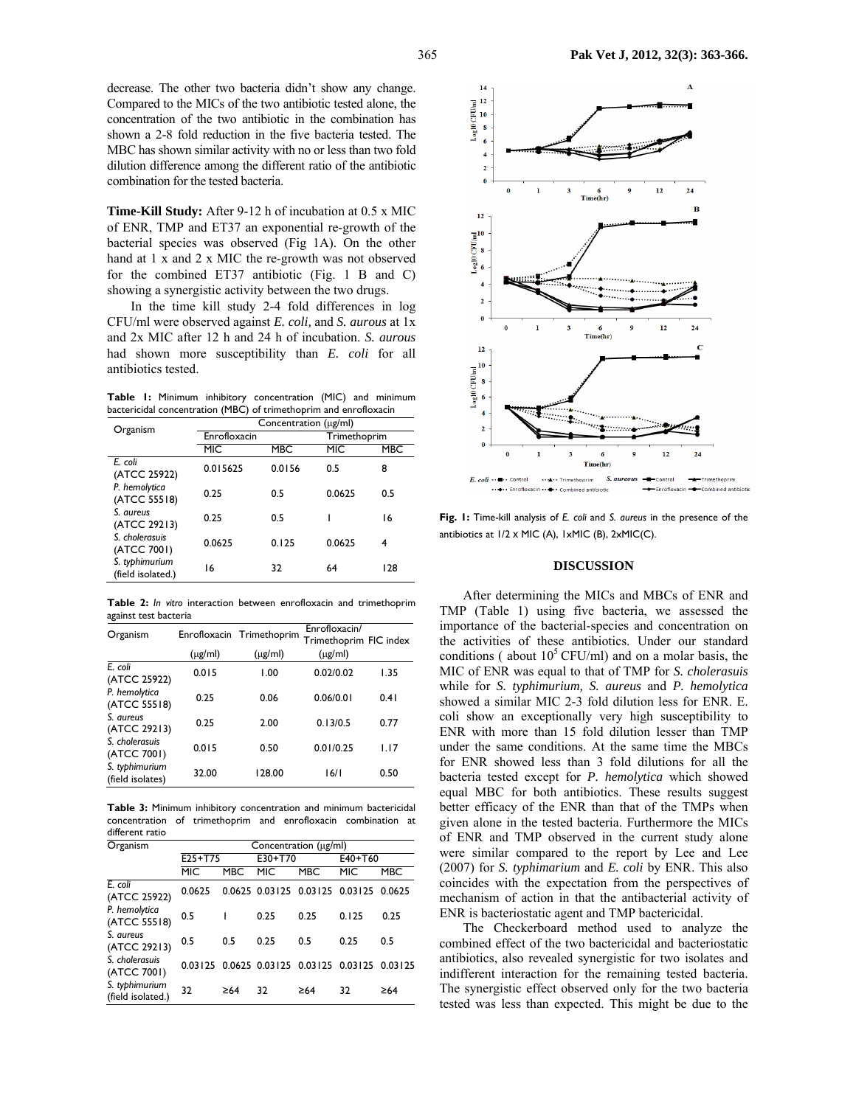decrease. The other two bacteria didn't show any change. Compared to the MICs of the two antibiotic tested alone, the concentration of the two antibiotic in the combination has shown a 2-8 fold reduction in the five bacteria tested. The MBC has shown similar activity with no or less than two fold dilution difference among the different ratio of the antibiotic combination for the tested bacteria.

**Time-Kill Study:** After 9-12 h of incubation at 0.5 x MIC of ENR, TMP and ET37 an exponential re-growth of the bacterial species was observed (Fig 1A). On the other hand at 1 x and 2 x MIC the re-growth was not observed for the combined ET37 antibiotic (Fig. 1 B and C) showing a synergistic activity between the two drugs.

In the time kill study 2-4 fold differences in log CFU/ml were observed against *E. coli,* and *S. aurous* at 1x and 2x MIC after 12 h and 24 h of incubation. *S. aurous* had shown more susceptibility than *E. coli* for all antibiotics tested.

**Table 1:** Minimum inhibitory concentration (MIC) and minimum bactericidal concentration (MBC) of trimethoprim and enrofloxacin

|                                                            | $\epsilon$            | ٠          |              |     |  |
|------------------------------------------------------------|-----------------------|------------|--------------|-----|--|
| Organism                                                   | Concentration (µg/ml) |            |              |     |  |
|                                                            | Enrofloxacin          |            | Trimethoprim |     |  |
|                                                            | MIC                   | <b>MBC</b> | MIC          | MBC |  |
| E. coli<br>(ATCC 25922)                                    | 0.015625              | 0.0156     | 0.5          | 8   |  |
| P. hemolytica<br>(ATCC 55518)                              | 0.25                  | 0.5        | 0.0625       | 0.5 |  |
| S. aureus<br>(ATCC 29213)<br>S. cholerasuis<br>(ATCC 7001) | 0.25                  | 0.5        |              | 16  |  |
|                                                            | 0.0625                | 0.125      | 0.0625       | 4   |  |
| S. typhimurium<br>(field isolated.)                        | 16                    | 32         | 64           | 128 |  |

**Table 2:** *In vitro* interaction between enrofloxacin and trimethoprim against test bacteria

| Organism                           |              | Enrofloxacin Trimethoprim | Enrofloxacin/<br>Trimethoprim FIC index |      |
|------------------------------------|--------------|---------------------------|-----------------------------------------|------|
|                                    | $(\mu$ g/ml) | $(\mu$ g/ml)              | $(\mu g/ml)$                            |      |
| $E_{i}$ coli<br>(ATCC 25922)       | 0.015        | 1.00                      | 0.02/0.02                               | 1.35 |
| P. hemolytica<br>(ATCC 55518)      | 0.25         | 0.06                      | 0.06/0.01                               | 0.41 |
| S. aureus<br>(ATCC 29213)          | 0.25         | 2.00                      | 0.13/0.5                                | 0.77 |
| S. cholerasuis<br>(ATCC 7001)      | 0.015        | 0.50                      | 0.01/0.25                               | 1.17 |
| S. typhimurium<br>(field isolates) | 32.00        | 128.00                    | 16/1                                    | 0.50 |

**Table 3:** Minimum inhibitory concentration and minimum bactericidal concentration of trimethoprim and enrofloxacin combination at different ratio

| Organism                            |            | Concentration (µg/ml) |                        |                                |                 |            |  |  |
|-------------------------------------|------------|-----------------------|------------------------|--------------------------------|-----------------|------------|--|--|
|                                     | $E25+T75$  |                       | E30+T70                |                                | E40+T60         |            |  |  |
|                                     | <b>MIC</b> | <b>MBC</b>            | <b>MIC</b>             | <b>MBC</b>                     | <b>MIC</b>      | <b>MBC</b> |  |  |
| $E$ coli<br>(ATCC 25922)            | 0.0625     |                       |                        | 0.0625 0.03125 0.03125 0.03125 |                 | 0.0625     |  |  |
| P. hemolytica<br>(ATCC 55518)       | 0.5        |                       | 0.25                   | 0.25                           | 0.125           | 0.25       |  |  |
| S. aureus<br>(ATCC 29213)           | 0.5        | 0.5                   | 0.25                   | 0.5                            | 0.25            | 0.5        |  |  |
| S. cholerasuis<br>(ATCC 7001)       |            |                       | 0.03125 0.0625 0.03125 |                                | 0.03125 0.03125 | 0.03125    |  |  |
| S. typhimurium<br>(field isolated.) | 32         | $\geq 64$             | 32                     | $\geq 64$                      | 32              | $\geq 64$  |  |  |



**Fig. 1:** Time-kill analysis of *E. coli* and *S. aureus* in the presence of the antibiotics at 1/2 ⅹ MIC (A), 1xMIC (B), 2xMIC(C).

## **DISCUSSION**

After determining the MICs and MBCs of ENR and TMP (Table 1) using five bacteria, we assessed the importance of the bacterial-species and concentration on the activities of these antibiotics. Under our standard conditions ( about  $10^5$  CFU/ml) and on a molar basis, the MIC of ENR was equal to that of TMP for *S. cholerasuis* while for *S. typhimurium, S. aureus* and *P. hemolytica*  showed a similar MIC 2-3 fold dilution less for ENR. E. coli show an exceptionally very high susceptibility to ENR with more than 15 fold dilution lesser than TMP under the same conditions. At the same time the MBCs for ENR showed less than 3 fold dilutions for all the bacteria tested except for *P. hemolytica* which showed equal MBC for both antibiotics. These results suggest better efficacy of the ENR than that of the TMPs when given alone in the tested bacteria. Furthermore the MICs of ENR and TMP observed in the current study alone were similar compared to the report by Lee and Lee (2007) for *S. typhimarium* and *E. coli* by ENR. This also coincides with the expectation from the perspectives of mechanism of action in that the antibacterial activity of ENR is bacteriostatic agent and TMP bactericidal.

The Checkerboard method used to analyze the combined effect of the two bactericidal and bacteriostatic antibiotics, also revealed synergistic for two isolates and indifferent interaction for the remaining tested bacteria. The synergistic effect observed only for the two bacteria tested was less than expected. This might be due to the